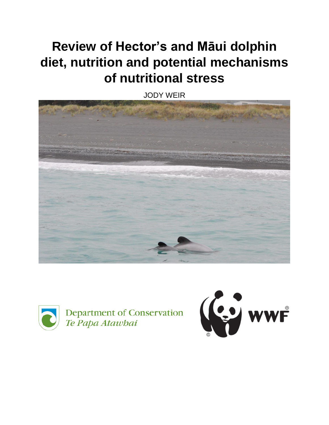# **Review of Hector's and Māui dolphin diet, nutrition and potential mechanisms of nutritional stress**

JODY WEIR





Department of Conservation Te Papa Atawbai

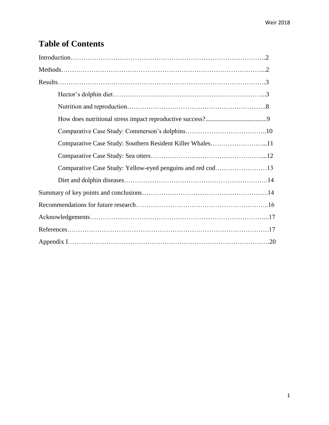# **Table of Contents**

| Comparative Case Study: Southern Resident Killer Whales11 |  |
|-----------------------------------------------------------|--|
|                                                           |  |
|                                                           |  |
|                                                           |  |
|                                                           |  |
|                                                           |  |
|                                                           |  |
|                                                           |  |
|                                                           |  |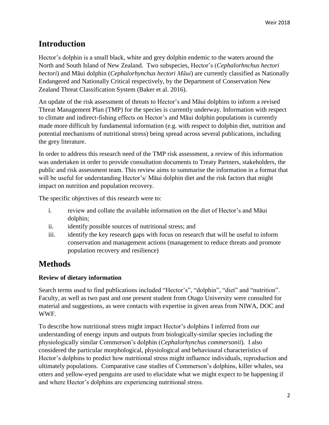# **Introduction**

Hector's dolphin is a small black, white and grey dolphin endemic to the waters around the North and South Island of New Zealand. Two subspecies, Hector's (*Cephalorhnchus hectori hectori*) and Māui dolphin (*Cephalorhynchus hectori Māui*) are currently classified as Nationally Endangered and Nationally Critical respectively, by the Department of Conservation New Zealand Threat Classification System (Baker et al. 2016).

An update of the risk assessment of threats to Hector's and Māui dolphins to inform a revised Threat Management Plan (TMP) for the species is currently underway. Information with respect to climate and indirect-fishing effects on Hector's and Māui dolphin populations is currently made more difficult by fundamental information (e.g. with respect to dolphin diet, nutrition and potential mechanisms of nutritional stress) being spread across several publications, including the grey literature.

In order to address this research need of the TMP risk assessment, a review of this information was undertaken in order to provide consultation documents to Treaty Partners, stakeholders, the public and risk assessment team. This review aims to summarise the information in a format that will be useful for understanding Hector's/ Māui dolphin diet and the risk factors that might impact on nutrition and population recovery.

The specific objectives of this research were to:

- i. review and collate the available information on the diet of Hector's and Māui dolphin;
- ii. identify possible sources of nutritional stress; and
- iii. identify the key research gaps with focus on research that will be useful to inform conservation and management actions (management to reduce threats and promote population recovery and resilience)

# **Methods**

#### **Review of dietary information**

Search terms used to find publications included "Hector's", "dolphin", "diet" and "nutrition". Faculty, as well as two past and one present student from Otago University were consulted for material and suggestions, as were contacts with expertise in given areas from NIWA, DOC and WWF.

To describe how nutritional stress might impact Hector's dolphins I inferred from our understanding of energy inputs and outputs from biologically-similar species including the physiologically similar Commerson's dolphin (*Cephalorhynchus commersonii*). I also considered the particular morphological, physiological and behavioural characteristics of Hector's dolphins to predict how nutritional stress might influence individuals, reproduction and ultimately populations. Comparative case studies of Commerson's dolphins, killer whales, sea otters and yellow-eyed penguins are used to elucidate what we might expect to be happening if and where Hector's dolphins are experiencing nutritional stress.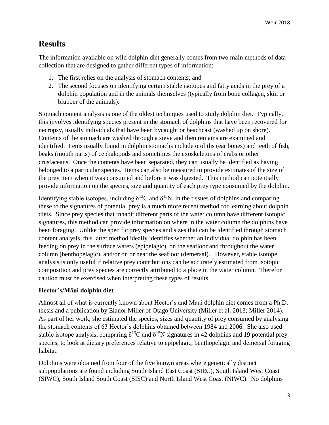## **Results**

The information available on wild dolphin diet generally comes from two main methods of data collection that are designed to gather different types of information:

- 1. The first relies on the analysis of stomach contents; and
- 2. The second focuses on identifying certain stable isotopes and fatty acids in the prey of a dolphin population and in the animals themselves (typically from bone collagen, skin or blubber of the animals).

Stomach content analysis is one of the oldest techniques used to study dolphin diet. Typically, this involves identifying species present in the stomach of dolphins that have been recovered for necropsy, usually individuals that have been bycaught or beachcast (washed up on shore). Contents of the stomach are washed through a sieve and then remains are examined and identified. Items usually found in dolphin stomachs include otoliths (ear bones) and teeth of fish, beaks (mouth parts) of cephalopods and sometimes the exoskeletons of crabs or other crustaceans. Once the contents have been separated, they can usually be identified as having belonged to a particular species. Items can also be measured to provide estimates of the size of the prey item when it was consumed and before it was digested. This method can potentially provide information on the species, size and quantity of each prey type consumed by the dolphin.

Identifying stable isotopes, including  $\delta^{13}C$  and  $\delta^{15}N$ , in the tissues of dolphins and comparing these to the signatures of potential prey is a much more recent method for learning about dolphin diets. Since prey species that inhabit different parts of the water column have different isotopic signatures, this method can provide information on where in the water column the dolphins have been foraging. Unlike the specific prey species and sizes that can be identified through stomach content analysis, this latter method ideally identifies whether an individual dolphin has been feeding on prey in the surface waters (epipelagic), on the seafloor and throughout the water column (benthopelagic), and/or on or near the seafloor (demersal). However, stable isotope analysis is only useful if relative prey contributions can be accurately estimated from isotopic composition and prey species are correctly attributed to a place in the water column. Therefor caution must be exercised when interpreting these types of results.

#### **Hector's/Māui dolphin diet**

Almost all of what is currently known about Hector's and Māui dolphin diet comes from a Ph.D. thesis and a publication by Elanor Miller of Otago University (Miller et al. 2013; Miller 2014). As part of her work, she estimated the species, sizes and quantity of prey consumed by analysing the stomach contents of 63 Hector's dolphins obtained between 1984 and 2006. She also used stable isotope analysis, comparing  $\delta^{13}$ C and  $\delta^{15}$ N signatures in 42 dolphins and 19 potential prey species, to look at dietary preferences relative to epipelagic, benthopelagic and demersal foraging habitat.

Dolphins were obtained from four of the five known areas where genetically distinct subpopulations are found including South Island East Coast (SIEC), South Island West Coast (SIWC), South Island South Coast (SISC) and North Island West Coast (NIWC). No dolphins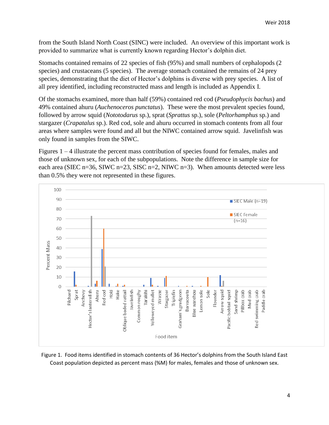from the South Island North Coast (SINC) were included. An overview of this important work is provided to summarize what is currently known regarding Hector's dolphin diet.

Stomachs contained remains of 22 species of fish (95%) and small numbers of cephalopods (2 species) and crustaceans (5 species). The average stomach contained the remains of 24 prey species, demonstrating that the diet of Hector's dolphins is diverse with prey species. A list of all prey identified, including reconstructed mass and length is included as Appendix I.

Of the stomachs examined, more than half (59%) contained red cod (*Pseudophycis bachus*) and 49% contained ahuru (*Auchenoceros punctatus*). These were the most prevalent species found, followed by arrow squid (*Nototodarus* sp.), sprat (*Sprattus* sp.), sole (*Peltorhamphus* sp.) and stargazer (*Crapatalus* sp.). Red cod, sole and ahuru occurred in stomach contents from all four areas where samples were found and all but the NIWC contained arrow squid. Javelinfish was only found in samples from the SIWC.

Figures 1 – 4 illustrate the percent mass contribution of species found for females, males and those of unknown sex, for each of the subpopulations. Note the difference in sample size for each area (SIEC n=36, SIWC n=23, SISC n=2, NIWC n=3). When amounts detected were less than 0.5% they were not represented in these figures.



Figure 1. Food items identified in stomach contents of 36 Hector's dolphins from the South Island East Coast population depicted as percent mass (%M) for males, females and those of unknown sex.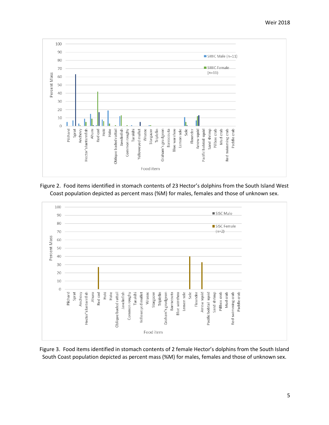

Figure 2. Food items identified in stomach contents of 23 Hector's dolphins from the South Island West Coast population depicted as percent mass (%M) for males, females and those of unknown sex.



Figure 3. Food items identified in stomach contents of 2 female Hector's dolphins from the South Island South Coast population depicted as percent mass (%M) for males, females and those of unknown sex.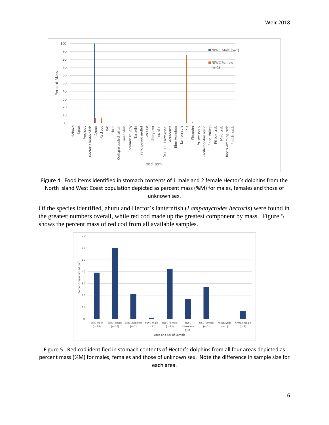

Figure 4. Food items identified in stomach contents of 1 male and 2 female Hector's dolphins from the North Island West Coast population depicted as percent mass (%M) for males, females and those of unknown sex.

Of the species identified, ahuru and Hector's lanternfish (*Lampanyctodes hectoris*) were found in the greatest numbers overall, while red cod made up the greatest component by mass. Figure 5 shows the percent mass of red cod from all available samples.



Figure 5. Red cod identified in stomach contents of Hector's dolphins from all four areas depicted as percent mass (%M) for males, females and those of unknown sex. Note the difference in sample size for each area.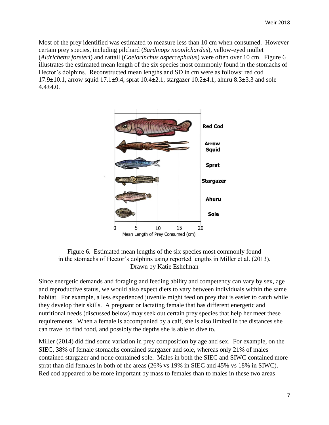Most of the prey identified was estimated to measure less than 10 cm when consumed. However certain prey species, including pilchard (*Sardinops neopilchardus*), yellow-eyed mullet (*Aldrichetta forsteri*) and rattail (*Coelorinchus aspercephalus*) were often over 10 cm. Figure 6 illustrates the estimated mean length of the six species most commonly found in the stomachs of Hector's dolphins. Reconstructed mean lengths and SD in cm were as follows: red cod 17.9 $\pm$ 10.1, arrow squid 17.1 $\pm$ 9.4, sprat 10.4 $\pm$ 2.1, stargazer 10.2 $\pm$ 4.1, ahuru 8.3 $\pm$ 3.3 and sole  $4.4 + 4.0.$ 



Figure 6. Estimated mean lengths of the six species most commonly found in the stomachs of Hector's dolphins using reported lengths in Miller et al. (2013). Drawn by Katie Eshelman

Since energetic demands and foraging and feeding ability and competency can vary by sex, age and reproductive status, we would also expect diets to vary between individuals within the same habitat. For example, a less experienced juvenile might feed on prey that is easier to catch while they develop their skills. A pregnant or lactating female that has different energetic and nutritional needs (discussed below) may seek out certain prey species that help her meet these requirements. When a female is accompanied by a calf, she is also limited in the distances she can travel to find food, and possibly the depths she is able to dive to.

Miller (2014) did find some variation in prey composition by age and sex. For example, on the SIEC, 38% of female stomachs contained stargazer and sole, whereas only 21% of males contained stargazer and none contained sole. Males in both the SIEC and SIWC contained more sprat than did females in both of the areas (26% vs 19% in SIEC and 45% vs 18% in SIWC). Red cod appeared to be more important by mass to females than to males in these two areas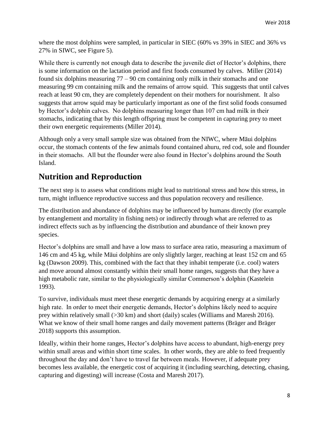where the most dolphins were sampled, in particular in SIEC (60% vs 39% in SIEC and 36% vs 27% in SIWC, see Figure 5).

While there is currently not enough data to describe the juvenile diet of Hector's dolphins, there is some information on the lactation period and first foods consumed by calves. Miller (2014) found six dolphins measuring  $77 - 90$  cm containing only milk in their stomachs and one measuring 99 cm containing milk and the remains of arrow squid. This suggests that until calves reach at least 90 cm, they are completely dependent on their mothers for nourishment. It also suggests that arrow squid may be particularly important as one of the first solid foods consumed by Hector's dolphin calves. No dolphins measuring longer than 107 cm had milk in their stomachs, indicating that by this length offspring must be competent in capturing prey to meet their own energetic requirements (Miller 2014).

Although only a very small sample size was obtained from the NIWC, where Māui dolphins occur, the stomach contents of the few animals found contained ahuru, red cod, sole and flounder in their stomachs. All but the flounder were also found in Hector's dolphins around the South Island.

# **Nutrition and Reproduction**

The next step is to assess what conditions might lead to nutritional stress and how this stress, in turn, might influence reproductive success and thus population recovery and resilience.

The distribution and abundance of dolphins may be influenced by humans directly (for example by entanglement and mortality in fishing nets) or indirectly through what are referred to as indirect effects such as by influencing the distribution and abundance of their known prey species.

Hector's dolphins are small and have a low mass to surface area ratio, measuring a maximum of 146 cm and 45 kg, while Māui dolphins are only slightly larger, reaching at least 152 cm and 65 kg (Dawson 2009). This, combined with the fact that they inhabit temperate (i.e. cool) waters and move around almost constantly within their small home ranges, suggests that they have a high metabolic rate, similar to the physiologically similar Commerson's dolphin (Kastelein 1993).

To survive, individuals must meet these energetic demands by acquiring energy at a similarly high rate. In order to meet their energetic demands, Hector's dolphins likely need to acquire prey within relatively small (>30 km) and short (daily) scales (Williams and Maresh 2016). What we know of their small home ranges and daily movement patterns (Bräger and Bräger 2018) supports this assumption.

Ideally, within their home ranges, Hector's dolphins have access to abundant, high-energy prey within small areas and within short time scales. In other words, they are able to feed frequently throughout the day and don't have to travel far between meals. However, if adequate prey becomes less available, the energetic cost of acquiring it (including searching, detecting, chasing, capturing and digesting) will increase (Costa and Maresh 2017).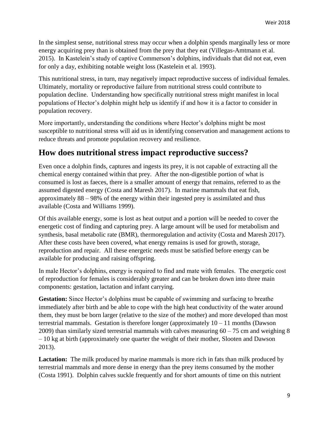In the simplest sense, nutritional stress may occur when a dolphin spends marginally less or more energy acquiring prey than is obtained from the prey that they eat (Villegas-Amtmann et al. 2015). In Kastelein's study of captive Commerson's dolphins, individuals that did not eat, even for only a day, exhibiting notable weight loss (Kastelein et al. 1993).

This nutritional stress, in turn, may negatively impact reproductive success of individual females. Ultimately, mortality or reproductive failure from nutritional stress could contribute to population decline. Understanding how specifically nutritional stress might manifest in local populations of Hector's dolphin might help us identify if and how it is a factor to consider in population recovery.

More importantly, understanding the conditions where Hector's dolphins might be most susceptible to nutritional stress will aid us in identifying conservation and management actions to reduce threats and promote population recovery and resilience.

#### **How does nutritional stress impact reproductive success?**

Even once a dolphin finds, captures and ingests its prey, it is not capable of extracting all the chemical energy contained within that prey. After the non-digestible portion of what is consumed is lost as faeces, there is a smaller amount of energy that remains, referred to as the assumed digested energy (Costa and Maresh 2017). In marine mammals that eat fish, approximately 88 – 98% of the energy within their ingested prey is assimilated and thus available (Costa and Williams 1999).

Of this available energy, some is lost as heat output and a portion will be needed to cover the energetic cost of finding and capturing prey. A large amount will be used for metabolism and synthesis, basal metabolic rate (BMR), thermoregulation and activity (Costa and Maresh 2017). After these costs have been covered, what energy remains is used for growth, storage, reproduction and repair. All these energetic needs must be satisfied before energy can be available for producing and raising offspring.

In male Hector's dolphins, energy is required to find and mate with females. The energetic cost of reproduction for females is considerably greater and can be broken down into three main components: gestation, lactation and infant carrying.

**Gestation:** Since Hector's dolphins must be capable of swimming and surfacing to breathe immediately after birth and be able to cope with the high heat conductivity of the water around them, they must be born larger (relative to the size of the mother) and more developed than most terrestrial mammals. Gestation is therefore longer (approximately  $10 - 11$  months (Dawson 2009) than similarly sized terrestrial mammals with calves measuring  $60 - 75$  cm and weighing 8 – 10 kg at birth (approximately one quarter the weight of their mother, Slooten and Dawson 2013).

**Lactation:** The milk produced by marine mammals is more rich in fats than milk produced by terrestrial mammals and more dense in energy than the prey items consumed by the mother (Costa 1991). Dolphin calves suckle frequently and for short amounts of time on this nutrient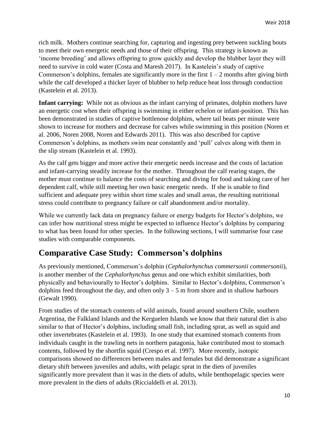rich milk. Mothers continue searching for, capturing and ingesting prey between suckling bouts to meet their own energetic needs and those of their offspring. This strategy is known as 'income breeding' and allows offspring to grow quickly and develop the blubber layer they will need to survive in cold water (Costa and Maresh 2017). In Kastelein's study of captive Commerson's dolphins, females ate significantly more in the first  $1 - 2$  months after giving birth while the calf developed a thicker layer of blubber to help reduce heat loss through conduction (Kastelein et al. 2013).

**Infant carrying:** While not as obvious as the infant carrying of primates, dolphin mothers have an energetic cost when their offspring is swimming in either echelon or infant-position. This has been demonstrated in studies of captive bottlenose dolphins, where tail beats per minute were shown to increase for mothers and decrease for calves while swimming in this position (Noren et al. 2006, Noren 2008, Noren and Edwards 2011). This was also described for captive Commerson's dolphins, as mothers swim near constantly and 'pull' calves along with them in the slip stream (Kastelein et al. 1993).

As the calf gets bigger and more active their energetic needs increase and the costs of lactation and infant-carrying steadily increase for the mother. Throughout the calf rearing stages, the mother must continue to balance the costs of searching and diving for food and taking care of her dependent calf, while still meeting her own basic energetic needs. If she is unable to find sufficient and adequate prey within short time scales and small areas, the resulting nutritional stress could contribute to pregnancy failure or calf abandonment and/or mortality.

While we currently lack data on pregnancy failure or energy budgets for Hector's dolphins, we can infer how nutritional stress might be expected to influence Hector's dolphins by comparing to what has been found for other species. In the following sections, I will summarise four case studies with comparable components.

# **Comparative Case Study: Commerson's dolphins**

As previously mentioned, Commerson's dolphin (*Cephalorhynchus commersonii commersonii*), is another member of the *Cephalorhynchus* genus and one which exhibit similarities, both physically and behaviourally to Hector's dolphins. Similar to Hector's dolphins, Commerson's dolphins feed throughout the day, and often only  $3 - 5$  m from shore and in shallow harbours (Gewalt 1990).

From studies of the stomach contents of wild animals, found around southern Chile, southern Argentina, the Falkland Islands and the Kerguelen Islands we know that their natural diet is also similar to that of Hector's dolphins, including small fish, including sprat, as well as squid and other invertebrates (Kastelein et al. 1993). In one study that examined stomach contents from individuals caught in the trawling nets in northern patagonia, hake contributed most to stomach contents, followed by the shortfin squid (Crespo et al. 1997). More recently, isotopic comparisons showed no differences between males and females but did demonstrate a significant dietary shift between juveniles and adults, with pelagic sprat in the diets of juveniles significantly more prevalent than it was in the diets of adults, while benthopelagic species were more prevalent in the diets of adults (Riccialdelli et al. 2013).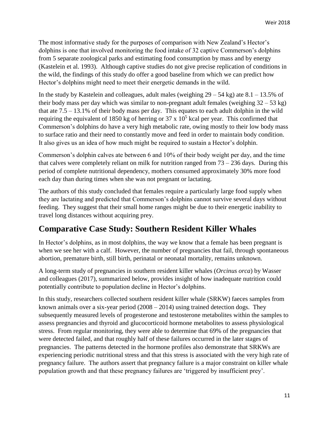The most informative study for the purposes of comparison with New Zealand's Hector's dolphins is one that involved monitoring the food intake of 32 captive Commerson's dolphins from 5 separate zoological parks and estimating food consumption by mass and by energy (Kastelein et al. 1993). Although captive studies do not give precise replication of conditions in the wild, the findings of this study do offer a good baseline from which we can predict how Hector's dolphins might need to meet their energetic demands in the wild.

In the study by Kastelein and colleagues, adult males (weighing  $29 - 54$  kg) ate  $8.1 - 13.5\%$  of their body mass per day which was similar to non-pregnant adult females (weighing  $32 - 53$  kg) that ate  $7.5 - 13.1\%$  of their body mass per day. This equates to each adult dolphin in the wild requiring the equivalent of 1850 kg of herring or  $37 \times 10^5$  kcal per year. This confirmed that Commerson's dolphins do have a very high metabolic rate, owing mostly to their low body mass to surface ratio and their need to constantly move and feed in order to maintain body condition. It also gives us an idea of how much might be required to sustain a Hector's dolphin.

Commerson's dolphin calves ate between 6 and 10% of their body weight per day, and the time that calves were completely reliant on milk for nutrition ranged from  $73 - 236$  days. During this period of complete nutritional dependency, mothers consumed approximately 30% more food each day than during times when she was not pregnant or lactating.

The authors of this study concluded that females require a particularly large food supply when they are lactating and predicted that Commerson's dolphins cannot survive several days without feeding. They suggest that their small home ranges might be due to their energetic inability to travel long distances without acquiring prey.

#### **Comparative Case Study: Southern Resident Killer Whales**

In Hector's dolphins, as in most dolphins, the way we know that a female has been pregnant is when we see her with a calf. However, the number of pregnancies that fail, through spontaneous abortion, premature birth, still birth, perinatal or neonatal mortality, remains unknown.

A long-term study of pregnancies in southern resident killer whales (*Orcinus orca*) by Wasser and colleagues (2017), summarized below, provides insight of how inadequate nutrition could potentially contribute to population decline in Hector's dolphins.

In this study, researchers collected southern resident killer whale (SRKW) faeces samples from known animals over a six-year period (2008 – 2014) using trained detection dogs. They subsequently measured levels of progesterone and testosterone metabolites within the samples to assess pregnancies and thyroid and glucocorticoid hormone metabolites to assess physiological stress. From regular monitoring, they were able to determine that 69% of the pregnancies that were detected failed, and that roughly half of these failures occurred in the later stages of pregnancies. The patterns detected in the hormone profiles also demonstrate that SRKWs are experiencing periodic nutritional stress and that this stress is associated with the very high rate of pregnancy failure. The authors assert that pregnancy failure is a major constraint on killer whale population growth and that these pregnancy failures are 'triggered by insufficient prey'.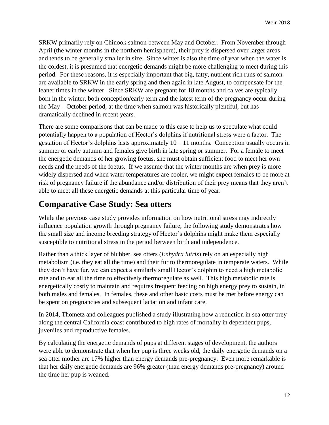SRKW primarily rely on Chinook salmon between May and October. From November through April (the winter months in the northern hemisphere), their prey is dispersed over larger areas and tends to be generally smaller in size. Since winter is also the time of year when the water is the coldest, it is presumed that energetic demands might be more challenging to meet during this period. For these reasons, it is especially important that big, fatty, nutrient rich runs of salmon are available to SRKW in the early spring and then again in late August, to compensate for the leaner times in the winter. Since SRKW are pregnant for 18 months and calves are typically born in the winter, both conception/early term and the latest term of the pregnancy occur during the May – October period, at the time when salmon was historically plentiful, but has dramatically declined in recent years.

There are some comparisons that can be made to this case to help us to speculate what could potentially happen to a population of Hector's dolphins if nutritional stress were a factor. The gestation of Hector's dolphins lasts approximately  $10 - 11$  months. Conception usually occurs in summer or early autumn and females give birth in late spring or summer. For a female to meet the energetic demands of her growing foetus, she must obtain sufficient food to meet her own needs and the needs of the foetus. If we assume that the winter months are when prey is more widely dispersed and when water temperatures are cooler, we might expect females to be more at risk of pregnancy failure if the abundance and/or distribution of their prey means that they aren't able to meet all these energetic demands at this particular time of year.

## **Comparative Case Study: Sea otters**

While the previous case study provides information on how nutritional stress may indirectly influence population growth through pregnancy failure, the following study demonstrates how the small size and income breeding strategy of Hector's dolphins might make them especially susceptible to nutritional stress in the period between birth and independence.

Rather than a thick layer of blubber, sea otters (*Enhydra lutris*) rely on an especially high metabolism (i.e. they eat all the time) and their fur to thermoregulate in temperate waters. While they don't have fur, we can expect a similarly small Hector's dolphin to need a high metabolic rate and to eat all the time to effectively thermoregulate as well. This high metabolic rate is energetically costly to maintain and requires frequent feeding on high energy prey to sustain, in both males and females. In females, these and other basic costs must be met before energy can be spent on pregnancies and subsequent lactation and infant care.

In 2014, Thometz and colleagues published a study illustrating how a reduction in sea otter prey along the central California coast contributed to high rates of mortality in dependent pups, juveniles and reproductive females.

By calculating the energetic demands of pups at different stages of development, the authors were able to demonstrate that when her pup is three weeks old, the daily energetic demands on a sea otter mother are 17% higher than energy demands pre-pregnancy. Even more remarkable is that her daily energetic demands are 96% greater (than energy demands pre-pregnancy) around the time her pup is weaned.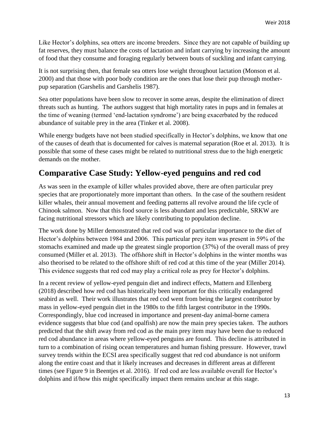Like Hector's dolphins, sea otters are income breeders. Since they are not capable of building up fat reserves, they must balance the costs of lactation and infant carrying by increasing the amount of food that they consume and foraging regularly between bouts of suckling and infant carrying.

It is not surprising then, that female sea otters lose weight throughout lactation (Monson et al. 2000) and that those with poor body condition are the ones that lose their pup through motherpup separation (Garshelis and Garshelis 1987).

Sea otter populations have been slow to recover in some areas, despite the elimination of direct threats such as hunting. The authors suggest that high mortality rates in pups and in females at the time of weaning (termed 'end-lactation syndrome') are being exacerbated by the reduced abundance of suitable prey in the area (Tinker et al. 2008).

While energy budgets have not been studied specifically in Hector's dolphins, we know that one of the causes of death that is documented for calves is maternal separation (Roe et al. 2013). It is possible that some of these cases might be related to nutritional stress due to the high energetic demands on the mother.

## **Comparative Case Study: Yellow-eyed penguins and red cod**

As was seen in the example of killer whales provided above, there are often particular prey species that are proportionately more important than others. In the case of the southern resident killer whales, their annual movement and feeding patterns all revolve around the life cycle of Chinook salmon. Now that this food source is less abundant and less predictable, SRKW are facing nutritional stressors which are likely contributing to population decline.

The work done by Miller demonstrated that red cod was of particular importance to the diet of Hector's dolphins between 1984 and 2006. This particular prey item was present in 59% of the stomachs examined and made up the greatest single proportion (37%) of the overall mass of prey consumed (Miller et al. 2013). The offshore shift in Hector's dolphins in the winter months was also theorised to be related to the offshore shift of red cod at this time of the year (Miller 2014). This evidence suggests that red cod may play a critical role as prey for Hector's dolphins.

In a recent review of yellow-eyed penguin diet and indirect effects, Mattern and Ellenberg (2018) described how red cod has historically been important for this critically endangered seabird as well. Their work illustrates that red cod went from being the largest contributor by mass in yellow-eyed penguin diet in the 1980s to the fifth largest contributor in the 1990s. Correspondingly, blue cod increased in importance and present-day animal-borne camera evidence suggests that blue cod (and opalfish) are now the main prey species taken. The authors predicted that the shift away from red cod as the main prey item may have been due to reduced red cod abundance in areas where yellow-eyed penguins are found. This decline is attributed in turn to a combination of rising ocean temperatures and human fishing pressure. However, trawl survey trends within the ECSI area specifically suggest that red cod abundance is not uniform along the entire coast and that it likely increases and decreases in different areas at different times (see Figure 9 in Beentjes et al. 2016). If red cod are less available overall for Hector's dolphins and if/how this might specifically impact them remains unclear at this stage.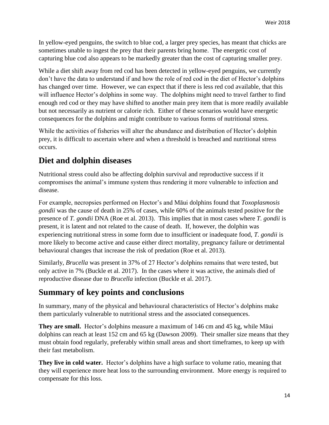In yellow-eyed penguins, the switch to blue cod, a larger prey species, has meant that chicks are sometimes unable to ingest the prey that their parents bring home. The energetic cost of capturing blue cod also appears to be markedly greater than the cost of capturing smaller prey.

While a diet shift away from red cod has been detected in yellow-eyed penguins, we currently don't have the data to understand if and how the role of red cod in the diet of Hector's dolphins has changed over time. However, we can expect that if there is less red cod available, that this will influence Hector's dolphins in some way. The dolphins might need to travel farther to find enough red cod or they may have shifted to another main prey item that is more readily available but not necessarily as nutrient or calorie rich. Either of these scenarios would have energetic consequences for the dolphins and might contribute to various forms of nutritional stress.

While the activities of fisheries will alter the abundance and distribution of Hector's dolphin prey, it is difficult to ascertain where and when a threshold is breached and nutritional stress occurs.

## **Diet and dolphin diseases**

Nutritional stress could also be affecting dolphin survival and reproductive success if it compromises the animal's immune system thus rendering it more vulnerable to infection and disease.

For example, necropsies performed on Hector's and Māui dolphins found that *Toxoplasmosis gondii* was the cause of death in 25% of cases, while 60% of the animals tested positive for the presence of *T. gondii* DNA (Roe et al. 2013). This implies that in most cases where *T. gondii* is present, it is latent and not related to the cause of death. If, however, the dolphin was experiencing nutritional stress in some form due to insufficient or inadequate food, *T. gondii* is more likely to become active and cause either direct mortality, pregnancy failure or detrimental behavioural changes that increase the risk of predation (Roe et al. 2013).

Similarly, *Brucella* was present in 37% of 27 Hector's dolphins remains that were tested, but only active in 7% (Buckle et al. 2017). In the cases where it was active, the animals died of reproductive disease due to *Brucella* infection (Buckle et al. 2017).

#### **Summary of key points and conclusions**

In summary, many of the physical and behavioural characteristics of Hector's dolphins make them particularly vulnerable to nutritional stress and the associated consequences.

**They are small.** Hector's dolphins measure a maximum of 146 cm and 45 kg, while Māui dolphins can reach at least 152 cm and 65 kg (Dawson 2009). Their smaller size means that they must obtain food regularly, preferably within small areas and short timeframes, to keep up with their fast metabolism.

**They live in cold water.** Hector's dolphins have a high surface to volume ratio, meaning that they will experience more heat loss to the surrounding environment. More energy is required to compensate for this loss.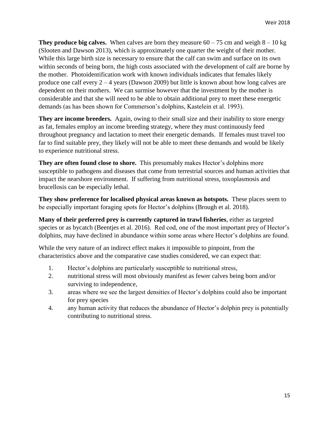**They produce big calves.** When calves are born they measure  $60 - 75$  cm and weigh  $8 - 10$  kg (Slooten and Dawson 2013), which is approximately one quarter the weight of their mother. While this large birth size is necessary to ensure that the calf can swim and surface on its own within seconds of being born, the high costs associated with the development of calf are borne by the mother. Photoidentification work with known individuals indicates that females likely produce one calf every 2 – 4 years (Dawson 2009) but little is known about how long calves are dependent on their mothers. We can surmise however that the investment by the mother is considerable and that she will need to be able to obtain additional prey to meet these energetic demands (as has been shown for Commerson's dolphins, Kastelein et al. 1993).

**They are income breeders.** Again, owing to their small size and their inability to store energy as fat, females employ an income breeding strategy, where they must continuously feed throughout pregnancy and lactation to meet their energetic demands. If females must travel too far to find suitable prey, they likely will not be able to meet these demands and would be likely to experience nutritional stress.

**They are often found close to shore.** This presumably makes Hector's dolphins more susceptible to pathogens and diseases that come from terrestrial sources and human activities that impact the nearshore environment. If suffering from nutritional stress, toxoplasmosis and brucellosis can be especially lethal.

**They show preference for localised physical areas known as hotspots.** These places seem to be especially important foraging spots for Hector's dolphins (Brough et al. 2018).

**Many of their preferred prey is currently captured in trawl fisheries**, either as targeted species or as bycatch (Beentjes et al. 2016). Red cod, one of the most important prey of Hector's dolphins, may have declined in abundance within some areas where Hector's dolphins are found.

While the very nature of an indirect effect makes it impossible to pinpoint, from the characteristics above and the comparative case studies considered, we can expect that:

- 1. Hector's dolphins are particularly susceptible to nutritional stress,
- 2. nutritional stress will most obviously manifest as fewer calves being born and/or surviving to independence,
- 3. areas where we see the largest densities of Hector's dolphins could also be important for prey species
- 4. any human activity that reduces the abundance of Hector's dolphin prey is potentially contributing to nutritional stress.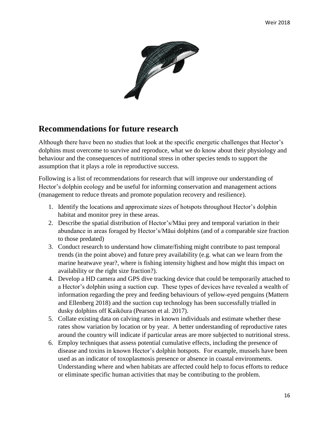

#### **Recommendations for future research**

Although there have been no studies that look at the specific energetic challenges that Hector's dolphins must overcome to survive and reproduce, what we do know about their physiology and behaviour and the consequences of nutritional stress in other species tends to support the assumption that it plays a role in reproductive success.

Following is a list of recommendations for research that will improve our understanding of Hector's dolphin ecology and be useful for informing conservation and management actions (management to reduce threats and promote population recovery and resilience).

- 1. Identify the locations and approximate sizes of hotspots throughout Hector's dolphin habitat and monitor prey in these areas.
- 2. Describe the spatial distribution of Hector's/Māui prey and temporal variation in their abundance in areas foraged by Hector's/Māui dolphins (and of a comparable size fraction to those predated)
- 3. Conduct research to understand how climate/fishing might contribute to past temporal trends (in the point above) and future prey availability (e.g. what can we learn from the marine heatwave year?, where is fishing intensity highest and how might this impact on availability or the right size fraction?).
- 4. Develop a HD camera and GPS dive tracking device that could be temporarily attached to a Hector's dolphin using a suction cup. These types of devices have revealed a wealth of information regarding the prey and feeding behaviours of yellow-eyed penguins (Mattern and Ellenberg 2018) and the suction cup technology has been successfully trialled in dusky dolphins off Kaikōura (Pearson et al. 2017).
- 5. Collate existing data on calving rates in known individuals and estimate whether these rates show variation by location or by year. A better understanding of reproductive rates around the country will indicate if particular areas are more subjected to nutritional stress.
- 6. Employ techniques that assess potential cumulative effects, including the presence of disease and toxins in known Hector's dolphin hotspots. For example, mussels have been used as an indicator of toxoplasmosis presence or absence in coastal environments. Understanding where and when habitats are affected could help to focus efforts to reduce or eliminate specific human activities that may be contributing to the problem.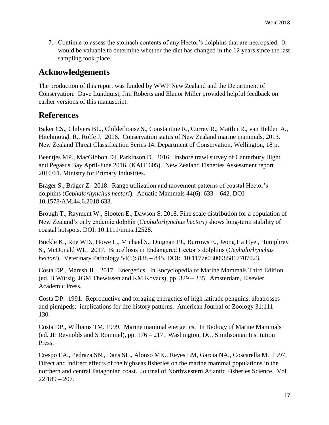7. Continue to assess the stomach contents of any Hector's dolphins that are necropsied. It would be valuable to determine whether the diet has changed in the 12 years since the last sampling took place.

#### **Acknowledgements**

The production of this report was funded by WWF New Zealand and the Department of Conservation. Dave Lundquist, Jim Roberts and Elanor Miller provided helpful feedback on earlier versions of this manuscript.

#### **References**

Baker CS., Chilvers BL., Childerhouse S., Constantine R., Currey R., Mattlin R., van Helden A., Hitchmough R., Rolfe J. 2016. Conservation status of New Zealand marine mammals, 2013. New Zealand Threat Classification Series 14. Department of Conservation, Wellington, 18 p.

Beentjes MP., MacGibbon DJ, Parkinson D. 2016. Inshore trawl survey of Canterbury Bight and Pegasus Bay April-June 2016, (KAH1605). New Zealand Fisheries Assessment report 2016/61. Ministry for Primary Industries.

Bräger S., Bräger Z. 2018. Range utilization and movement patterns of coastal Hector's dolphins (*Cephalorhynchus hectori*). Aquatic Mammals 44(6): 633 – 642. DOI: 10.1578/AM.44.6.2018.633.

Brough T., Rayment W., Slooten E., Dawson S. 2018. Fine scale distribution for a population of New Zealand's only endemic dolphin (*Cephalorhynchus hectori*) shows long-term stability of coastal hotspots. DOI: 10.1111/mms.12528.

Buckle K., Roe WD., Howe L., Michael S., Duignan PJ., Burrows E., Jeong Ha Hye., Humphrey S., McDonald WL. 2017. Brucellosis in Endangered Hector's dolphins (*Cephalorhynchus hectori*). Veterinary Pathology 54(5): 838 – 845. DOI: 10.1177é0300985817707023.

Costa DP., Maresh JL. 2017. Energetics. In Encyclopedia of Marine Mammals Third Edition (ed. B Würsig, JGM Thewissen and KM Kovacs), pp. 329 – 335. Amsterdam, Elsevier Academic Press.

Costa DP. 1991. Reproductive and foraging energetics of high latitude penguins, albatrosses and pinnipeds: implications for life history patterns. American Journal of Zoology 31:111 – 130.

Costa DP., Williams TM. 1999. Marine mammal energetics. In Biology of Marine Mammals (ed. JE Reynolds and S Rommel), pp. 176 – 217. Washington, DC, Smithsonian Institution Press.

Crespo EA., Pedraza SN., Dans SL., Alonso MK., Reyes LM, Garcia NA., Coscarella M. 1997. Direct and indirect effects of the highseas fisheries on the marine mammal populations in the northern and central Patagonian coast. Journal of Northwestern Atlantic Fisheries Science. Vol  $22:189 - 207.$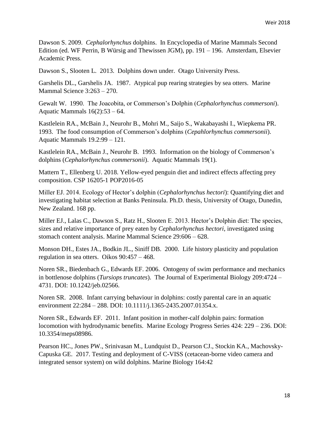Dawson S. 2009. *Cephalorhynchus* dolphins. In Encyclopedia of Marine Mammals Second Edition (ed. WF Perrin, B Würsig and Thewissen JGM), pp. 191 – 196. Amsterdam, Elsevier Academic Press.

Dawson S., Slooten L. 2013. Dolphins down under. Otago University Press.

Garshelis DL., Garshelis JA. 1987. Atypical pup rearing strategies by sea otters. Marine Mammal Science 3:263 – 270.

Gewalt W. 1990. The Joacobita, or Commerson's Dolphin (*Cephalorhynchus commersoni*). Aquatic Mammals 16(2):53 – 64.

Kastlelein RA., McBain J., Neurohr B., Mohri M., Saijo S., Wakabayashi I., Wiepkema PR. 1993. The food consumption of Commerson's dolphins (*Cepahlorhynchus commersonii*). Aquatic Mammals 19.2:99 – 121.

Kastlelein RA., McBain J., Neurohr B. 1993. Information on the biology of Commerson's dolphins (*Cephalorhynchus commersonii*). Aquatic Mammals 19(1).

Mattern T., Ellenberg U. 2018. Yellow-eyed penguin diet and indirect effects affecting prey composition. CSP 16205-1 POP2016-05

Miller EJ. 2014. Ecology of Hector's dolphin (*Cephalorhynchus hectori*): Quantifying diet and investigating habitat selection at Banks Peninsula. Ph.D. thesis, University of Otago, Dunedin, New Zealand. 168 pp.

Miller EJ., Lalas C., Dawson S., Ratz H., Slooten E. 2013. Hector's Dolphin diet: The species, sizes and relative importance of prey eaten by *Cephalorhynchus hectori*, investigated using stomach content analysis. Marine Mammal Science 29:606 – 628.

Monson DH., Estes JA., Bodkin JL., Siniff DB. 2000. Life history plasticity and population regulation in sea otters. Oikos 90:457 – 468.

Noren SR., Biedenbach G., Edwards EF. 2006. Ontogeny of swim performance and mechanics in bottlenose dolphins (*Tursiops truncates*). The Journal of Experimental Biology 209:4724 – 4731. DOI: 10.1242/jeb.02566.

Noren SR. 2008. Infant carrying behaviour in dolphins: costly parental care in an aquatic environment 22:284 – 288. DOI: 10.1111/j.1365-2435.2007.01354.x.

Noren SR., Edwards EF. 2011. Infant position in mother-calf dolphin pairs: formation locomotion with hydrodynamic benefits. Marine Ecology Progress Series 424: 229 – 236. DOI: 10.3354/meps08986.

Pearson HC., Jones PW., Srinivasan M., Lundquist D., Pearson CJ., Stockin KA., Machovsky-Capuska GE. 2017. Testing and deployment of C-VISS (cetacean-borne video camera and integrated sensor system) on wild dolphins. Marine Biology 164:42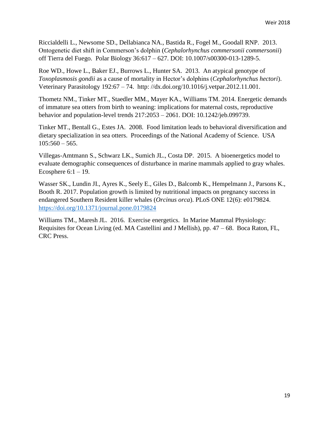Riccialdelli L., Newsome SD., Dellabianca NA., Bastida R., Fogel M., Goodall RNP. 2013. Ontogenetic diet shift in Commerson's dolphin (*Cephalorhynchus commersonii commersonii*) off Tierra del Fuego. Polar Biology 36:617 – 627. DOI: 10.1007/s00300-013-1289-5.

Roe WD., Howe L., Baker EJ., Burrows L., Hunter SA. 2013. An atypical genotype of *Toxoplasmosis gondii* as a cause of mortality in Hector's dolphins (*Cephalorhynchus hectori*). Veterinary Parasitology 192:67 – 74. http: //dx.doi.org/10.1016/j.vetpar.2012.11.001.

Thometz NM., Tinker MT., Staedler MM., Mayer KA., Williams TM. 2014. Energetic demands of immature sea otters from birth to weaning: implications for maternal costs, reproductive behavior and population-level trends 217:2053 – 2061. DOI: 10.1242/jeb.099739.

Tinker MT., Bentall G., Estes JA. 2008. Food limitation leads to behavioral diversification and dietary specialization in sea otters. Proceedings of the National Academy of Science. USA  $105:560 - 565.$ 

Villegas-Amtmann S., Schwarz LK., Sumich JL., Costa DP. 2015. A bioenergetics model to evaluate demographic consequences of disturbance in marine mammals applied to gray whales. Ecosphere  $6:1 - 19$ .

Wasser SK., Lundin JI., Ayres K., Seely E., Giles D., Balcomb K., Hempelmann J., Parsons K., Booth R. 2017. Population growth is limited by nutritional impacts on pregnancy success in endangered Southern Resident killer whales (*Orcinus orca*). PLoS ONE 12(6): e0179824. <https://doi.org/10.1371/journal.pone.0179824>

Williams TM., Maresh JL. 2016. Exercise energetics. In Marine Mammal Physiology: Requisites for Ocean Living (ed. MA Castellini and J Mellish), pp. 47 – 68. Boca Raton, FL, CRC Press.